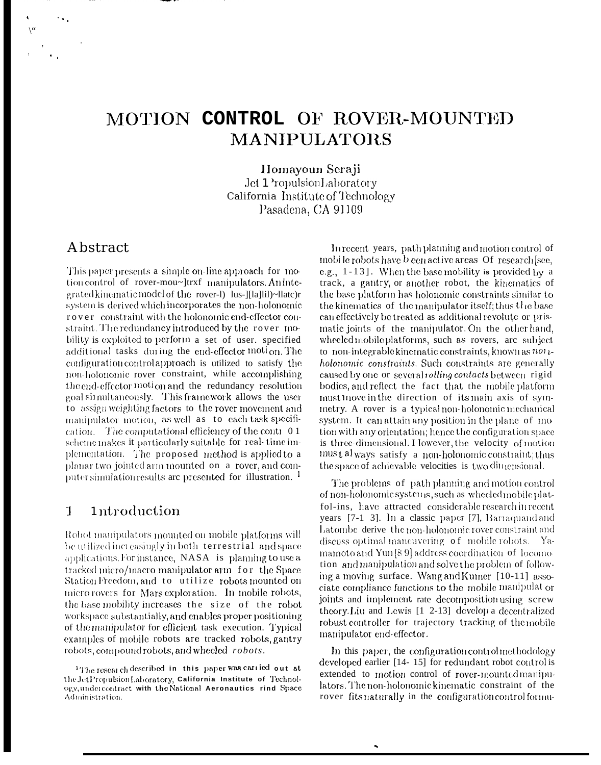# MOTION CONTROL OF ROVER-MOUNTED MANIPULATORS

Homayoun Seraji Jet 1 'ropulsionLaboratory California Institute of Technology Pasadena, CA 91109

### Abstract

This paper presents a simple on-line approach for motion control of rover-mou~]trxf manipulators. An integrated kinematic model of the rover-1) lus-[[la]lil)~llatc)r system is derived which incorporates the non-holonomic rover constraint with the holonomic end-effector constraint. The redundancy introduced by the rover mobility is exploited to perform a set of user. specified additional tasks during the end-effector motion. The configuration control approach is utilized to satisfy the non-holonomic rover constraint, while accomplishing the end-effector motion and the redundancy resolution goal simultaneously. This framework allows the user to assign weighting factors to the rover movement and manipulator motion, as well as to each task specification. The computational efficiency of the contr 0.1 scheme makes it particularly suitable for real-time implementation. The proposed method is applied to a planar two jointed arm mounted on a rover, and computer simulation results are presented for illustration.<sup>1</sup>

#### 1ntroduction  $\mathbf{1}$

Robot manipulators mounted on mobile platforms will be utilized increasingly in both terrestrial and space applications. For instance, NASA is planning to use a tracked micro/macro manipulator arm for the Space Station Freedom, and to utilize robots mounted on micro rovers for Mars exploration. In mobile robots, the base mobility increases the size of the robot workspace substantially, and enables proper positioning of the manipulator for efficient task execution. Typical examples of mobile robots are tracked robots, gantry robots, compound robots, and wheeled robots.

<sup>1</sup>The research described in this paper was carried out at the Jet Propulsion Laboratory, California Institute of Technology, undercontract with the National Aeronautics rind Space Administration.

In recent years, path planning and motion control of mobile robots have been active areas Of research see. e.g.,  $1-13$ ]. When the base mobility is provided by a track, a gantry, or another robot, the kinematics of the base platform has holonomic constraints similar to the kinematics of the manipulator itself; thus  $\mathbf{t}$  le base can effectively be treated as additional revolute or prismatic joints of the manipulator. On the other hand, wheeled mobile platforms, such as rovers, arc subject to non-integrable kinematic constraints, known as  $n \omega_1$ . holonomic constraints. Such constraints are generally caused by one or several *rolling contacts* between rigid bodies, and reflect the fact that the mobile platform must move in the direction of its main axis of symmetry. A rover is a typical non-holonomic mechanical system. It can attain any position in the plane of motion with any orientation; hence the configuration space is three-dimensional. I lowever, the velocity of motion must al ways satisfy a non-holonomic constraint; thus the space of achievable velocities is two dimensional.

The problems of path planning and motion control of non-holonomic systems, such as wheeled mobile platfol-ins, have attracted considerable research in recent years [7-1-3]. In a classic paper [7], Barraquand and Latombe derive the non-holonomic rover constraint and discuss optimal maneuvering of mobile robots. Yamamoto and Yun [8 9] address coordination of locomotion and manipulation and solve the problem of following a moving surface. Wang and Kumer [10-11] associate compliance functions to the mobile manipulat or joints and implement rate decomposition using screw theory. Liu and Lewis [1 2-13] develop a decentralized robust controller for trajectory tracking of the mobile manipulator end-effector.

In this paper, the configuration control methodology developed earlier [14-15] for redundant robot control is extended to motion control of rover-mountedmanipulators. The non-holonomic kinematic constraint of the rover fits naturally in the configuration control formu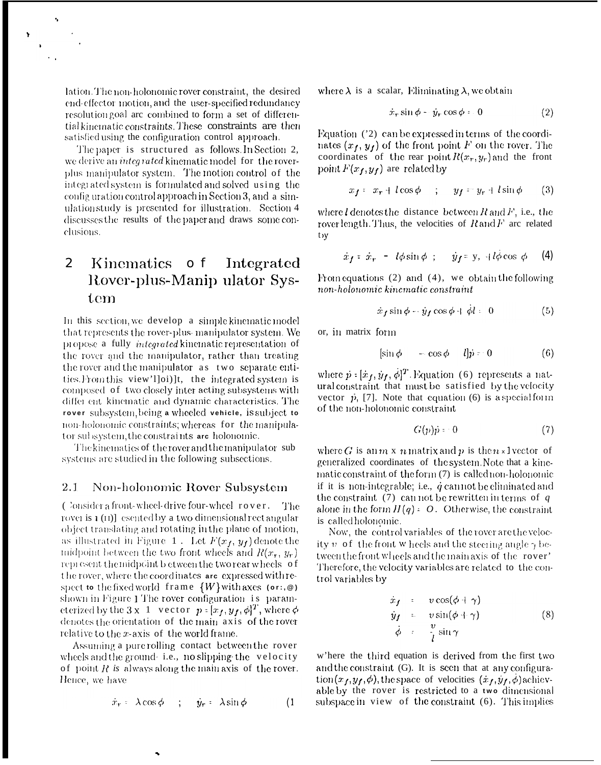lation. The non-holonomic rover constraint, the desired end-effector motion, and the user-specified redundancy resolution goal are combined to form a set of differential kinematic constraints. These constraints are then satisfied using the configuration control approach.

The paper is structured as follows. In Section 2, we derive an *integrated* kinematic model for the roverplus manipulator system. The motion control of the integrated system is formulated and solved using the configuration control approach in Section 3, and a simulation study is presented for illustration. Section 4 discusses the results of the paper and draws some conclusions.

### 2 Kinematics of Integrated Rover-plus-Manip ulator Sys $tcm$

In this section, we develop a simple kinematic model that represents the rover-plus-manipulator system. We propose a fully *integrated* kinematic representation of the rover and the manipulator, rather than treating the rover and the manipulator as two separate entities. From this view'lloi) lt, the integrated system is composed of two closely inter acting subsystems with different kinematic and dynamic characteristics. The rover subsystem, being a wheeled venicle, is subject to non-holonomic constraints; whereas for the manipulator subsystem, the constraints are holonomic.

The kinematics of the rover and the manipulator sub systems are studied in the following subsections.

#### $2.1$ Non-holonomic Rover Subsystem

Consider a front-wheel-drive four-wheel rover. The rover is  $\mathbf{1}$  (II) esented by a two dimensional rect angular object translating and rotating in the plane of motion, as illustrated in Figure 1. Let  $F(x_f, y_f)$  denote the midpoint between the two front wheels and  $R(x_r, y_r)$ represent the midpoint between the two rear wheels of the rover, where the coordinates are expressed with respect to the fixed world frame  $\{W\}$  with axes (or:, @) shown in Figure 1 The rover configuration is parameterized by the 3 x 1 vector  $p:[x_f, y_f, \phi]^T$ , where  $\phi$  denotes the orientation of the main axis of the rover relative to the  $x$ -axis of the world frame.

Assuming a pure rolling contact between the rover wheels and the ground-i.e., no slipping-the velocity of point  $R$  is always along the main axis of the rover. Hence, we have

$$
\dot{x}_r = \lambda \cos \phi \qquad ; \qquad \dot{y}_r = \lambda \sin \phi \qquad (1
$$

where  $\lambda$  is a scalar, Eliminating  $\lambda$ , we obtain

$$
\dot{x}_r \sin \phi - \dot{y}_r \cos \phi = 0 \tag{2}
$$

Equation (2) can be expressed in terms of the coordinates  $(x_f, y_f)$  of the front point F on the rover. The coordinates of the rear point  $R(x_r, y_r)$  and the front point  $F(x_f, y_f)$  are related by

$$
x_f = x_r + l\cos\phi \quad ; \quad y_f = y_r + l\sin\phi \qquad (3)
$$

where  $l$  denotes the distance between  $R$  and  $F$ , i.e., the rover length. Thus, the velocities of  $R$  and  $F$  arc related ty

$$
\dot{x}_f = \dot{x}_r - l\phi \sin \phi ; \quad \dot{y}_f = y, \quad l\dot{\phi} \cos \phi \quad (4)
$$

From equations  $(2)$  and  $(4)$ , we obtain the following non-holonomic kinematic constraint

$$
\dot{x}_f \sin \phi - \dot{y}_f \cos \phi + \dot{\phi}l = 0 \tag{5}
$$

or, in matrix form

$$
[\sin \phi \quad -\cos \phi \quad l] \vec{p} = 0 \tag{6}
$$

where  $\vec{p}$  =  $[\dot{x}_f, \dot{y}_f, \dot{\phi}]^T$ . Equation (6) represents a natural constraint that must be satisfied by the velocity vector  $\dot{p}$ , [7]. Note that equation (6) is a special form of the non-holonomic constraint

$$
G(p)p = 0 \tag{7}
$$

where G is an  $m \times n$  matrix and p is the  $n \times 1$  vector of generalized coordinates of the system. Note that a kinematic constraint of the form (7) is called non-holonomic if it is non-integrable; i.e.,  $\dot{q}$  can not be eliminated and the constraint (7) can not be rewritten in terms of  $q$ alone in the form  $H(q) = 0$ . Otherwise, the constraint is called holonomic.

Now, the control variables of the rover are the velocity v of the front wheels and the steering angle  $\gamma$  between the front wheels and the main axis of the rover' Therefore, the velocity variables are related to the control variables by

$$
\dot{x}_f = v \cos(\phi + \gamma) \n\dot{y}_f = v \sin(\phi + \gamma) \n\dot{\phi} = -\frac{v}{l} \sin \gamma
$$
\n(8)

w'here the third equation is derived from the first two and the constraint (G). It is seen that at any configuration  $(x_f, y_f, \phi)$ , the space of velocities  $(\dot{x}_f, \dot{y}_f, \dot{\phi})$  achievable by the rover is restricted to a two dimensional subspace in view of the constraint (6). This implies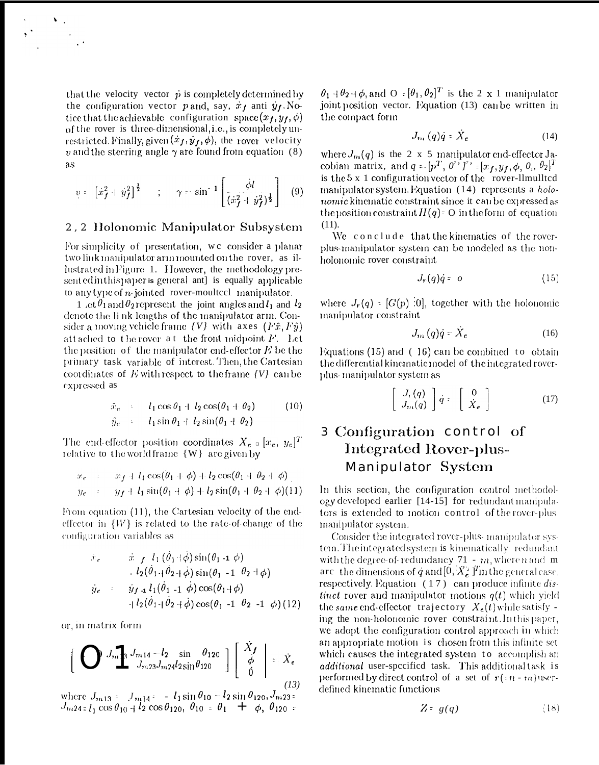that the velocity vector  $\dot{p}$  is completely determined by the configuration vector p and, say,  $\dot{x}_f$  anti  $\dot{y}_f$ . Notice that the achievable configuration space  $(x_f, y_f, \phi)$ of the rover is three-dimensional, i.e., is completely unrestricted. Finally, given  $(\dot{x}_f, \dot{y}_f, \phi)$ , the rover velocity v and the steering angle  $\gamma$  are found from equation (8) as

$$
v = [x_f^2 + y_f^2]^{\frac{1}{2}} \qquad ; \qquad \gamma = \sin^{-1} \left[ \frac{\dot{\phi}l}{(x_f^2 + y_f^2)^{\frac{1}{2}}} \right] \quad (9)
$$

### 2, 2 Holonomic Manipulator Subsystem

For simplicity of presentation, we consider a planar two link manipulator arm mounted on the rover, as illustrated in Figure 1. However, the methodology presented in this paper is general ant] is equally applicable to any type of  $n$ -jointed rover-moulted manipulator.

1 et  $\theta_1$  and  $\theta_2$  represent the joint angles and  $l_1$  and  $l_2$ denote the link lengths of the manipulator arm. Consider a moving vehicle frame  $\{V\}$  with axes  $(F\hat{x}, F\hat{y})$ attached to the rover at the front midpoint  $F$ . Let the position of the manipulator end-effector  $E$  be the primary task variable of interest. Then, the Cartesian coordinates of E with respect to the frame  $\{V\}$  can be expressed as

$$
\hat{x}_e = l_1 \cos \theta_1 + l_2 \cos(\theta_1 + \theta_2) \tag{10}
$$
  

$$
\hat{y}_e = l_1 \sin \theta_1 + l_2 \sin(\theta_1 + \theta_2)
$$

The end-effector position coordinates  $X_e \circ [x_e, y_e]^T$ relative to the world frame {W} are given by

$$
x_e = x_f + l_1 \cos(\theta_1 + \phi) + l_2 \cos(\theta_1 + \theta_2 + \phi)
$$
  
\n
$$
y_e = y_f + l_1 \sin(\theta_1 + \phi) + l_2 \sin(\theta_1 + \theta_2 + \phi)
$$
(11)

From equation (11), the Cartesian velocity of the endeffector in  $\{W\}$  is related to the rate-of-change of the configuration variables as

$$
\dot{x}_c = \dot{x}_f l_1(\dot{\theta}_1 + \dot{\phi}) \sin(\theta_1 - \dot{\theta}) \n-l_2(\dot{\theta}_1 + \dot{\theta}_2 + \dot{\phi}) \sin(\theta_1 - 1 \theta_2 + \dot{\phi}) \n\dot{y}_c = \dot{y}_{f-1} l_1(\dot{\theta}_1 - 1 \dot{\phi}) \cos(\theta_1 + \dot{\phi}) \n-l_2(\dot{\theta}_1 + \dot{\theta}_2 + \dot{\phi}) \cos(\theta_1 - 1 \theta_2 - 1 \dot{\phi}) (12)
$$

or, in matrix form

$$
\left[\bigodot J_{m} \right]_{3} J_{m14} - l_{2} \sin \theta_{120} \left[\begin{array}{c} \dot{X}_{f} \\ \dot{\phi} \\ \dot{0} \end{array}\right] = \dot{X}_{\epsilon}
$$

where  $J_{m13}$  :  $J_{m14}$  :  $l_1 \sin \theta_{10} - l_2 \sin \theta_{120}, J_{m23}$  :<br>  $J_{m24}$  :  $l_1 \cos \theta_{10} + l_2 \cos \theta_{120}, \theta_{10}$  :  $\theta_1$  +  $\phi$ ,  $\theta_{120}$  :

 $\theta_1 + \theta_2 + \phi$ , and O =  $[\theta_1, \theta_2]^T$  is the 2 x 1 manipulator joint position vector. Equation (13) can be written in the compact form

$$
J_m(q)\dot{q} \cdot \dot{X}_e \tag{14}
$$

where  $J_m(q)$  is the 2 x 5 manipulator end-effector Jacobian matrix, and  $q = [p^T, 0^{\prime\prime}]^T = [x_f, y_f, \phi, 0, b_2]^T$ is the 5 x 1 configuration vector of the rover-llmullted manipulator system. Equation (14) represents a holo*nomic* kinematic constraint since it can be expressed as the position constraint  $H(q)$  = O in the form of equation  $(11)$ .

We conclude that the kinematics of the roverplus-manipulator system can be modeled as the nonholonomic rover constraint

$$
J_r(q)\dot{q} = o \tag{15}
$$

where  $J_r(q)$  = [ $G(p)$  :0], together with the holonomic manipulator constraint

$$
J_m(q)\dot{q} = \dot{X}_e \tag{16}
$$

Equations  $(15)$  and  $(16)$  can be combined to obtain the differential kinematic model of the integrated roverplus-manipulator system as

$$
\left[\begin{array}{c}J_r(q) \\ J_{m}(q)\end{array}\right]\dot{q}=\left[\begin{array}{c}0 \\ \dot{X}_{\epsilon}\end{array}\right]
$$
(17)

## 3 Configuration control of Integrated Rover-plus-Manipulator System

In this section, the configuration control methodology developed earlier [14-15] for redundant manipulators is extended to motion control of the rover-plus manipulator system.

Consider the integrated rover-plus- manipulator system. The integrated system is kinematically redundant with the degree-of-redundancy 71 -  $m$ , where n and m are the dimensions of q and  $[0, X_e^1]$ <sup>T</sup>m the general case, respectively. Equation (17) can produce infinite distinct rover and manipulator motions  $q(t)$  which yield the same end-effector trajectory  $X_e(t)$  while satisfy ing the non-holonomic rover constraint. In this paper, we adopt the configuration control approach in which an appropriate motion is chosen from this infinite set which causes the integrated system to accomplish an additional user-specified task. This additional task is performed by direct control of a set of  $r(zn-m)$  userdefined kinematic functions

$$
Z = g(q) \tag{18}
$$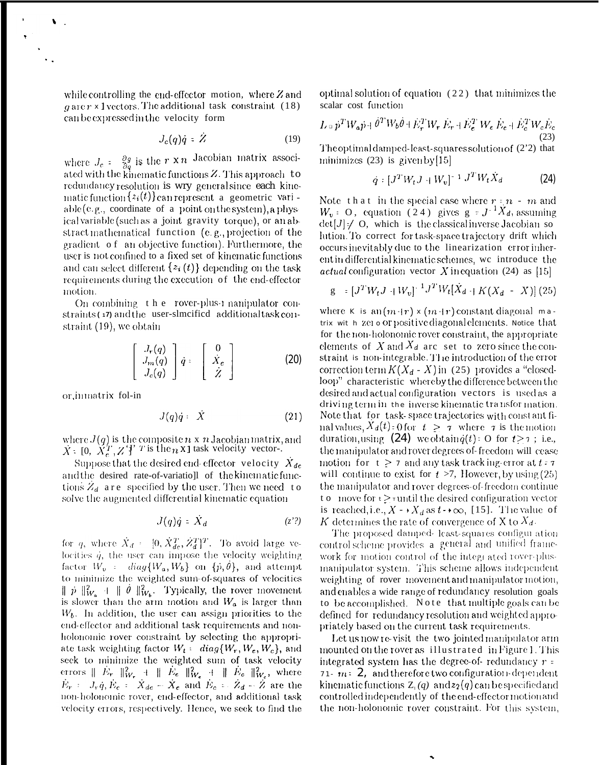while controlling the end-effector motion, where  $Z$  and  $g$  are  $r \times 1$  vectors. The additional task constraint (18) can be expressed in the velocity form

$$
J_c(q)\dot{q} = \dot{Z} \tag{19}
$$

where  $J_c = \frac{\partial g}{\partial q}$  is the  $r \times n$  Jacobian matrix associated with the kinematic functions  $Z$ . This approach to redundancy resolution is wry general since each kinematic function  $\{z_i(t)\}$  can represent a geometric variable (e.g., coordinate of a point on the system), a physical variable (such as a joint gravity torque), or an abstract mathematical function (e.g., projection of the gradient of an objective function). Furthermore, the user is not confined to a fixed set of kinematic functions and can select different  $\{z_i(t)\}\$  depending on the task requirements during the execution of the end-effector motion.

On combining the rover-plus-manipulator constraints (47) and the user-slmcified additional task constraint (19), we obtain

$$
\begin{bmatrix}\nJ_r(q) \\
J_m(q) \\
J_c(q)\n\end{bmatrix}\n\dot{q} = \begin{bmatrix}\n0 \\
\dot{X}_e \\
\dot{Z}\n\end{bmatrix}
$$
\n(20)

or, in matrix fol-in

$$
J(q)\dot{q}:\dot{X} \tag{21}
$$

where  $J(q)$  is the composite  $n \times n$  Jacobian matrix, and  $X \in [0, X_c^T, Z^T]^T$  is the  $n \times 1$  task velocity vector-.

Suppose that the desired end-effector velocity  $\dot{X}_{de}$ and the desired rate-of-variatio]1 of the kinematic functions  $Z_d$  are specified by the user. Then we need to solve the augmented differential kinematic equation

$$
J(q)\dot{q} = \dot{X}_d \tag{z'}
$$

for q, where  $\dot{X}_d = [0, \dot{X}_{dc}^T, \dot{Z}_d^T]^T$ . To avoid large velocities  $\dot{q}$ , the user can impose the velocity weighting factor  $W_v$  =  $diag\{W_a, W_b\}$  on  $\{\dot{p}, \dot{\theta}\}$ , and attempt to minimize the weighted sum-of-squares of velocities  $||\vec{p}||^2_{W_2} + ||\vec{\theta}||^2_{W_b}$ . Typically, the rover movement is slower than the arm motion and  $W_a$  is larger than  $W_b$ . In addition, the user can assign priorities to the end-effector and additional task requirements and nonholonomic rover constraint by selecting the appropriate task weighting factor  $W_t = diag\{W_r, W_e, W_c\}$ , and seek to minimize the weighted sum of task velocity errors  $||E_r||_{W_r}^2 + ||E_e||_{W_e}^2 + ||E_e||_{W_e}^2$ , where  $\hat{E}_r = J_r \hat{q}, \hat{E}_c = X_{dc} - \hat{X}_c$  and  $\hat{E}_c = \hat{Z}_d - \hat{Z}$  are the non-holonomic rover, end-effector, and additional task velocity errors, respectively. Hence, we seek to find the

optimal solution of equation (22) that minimizes the scalar cost function

$$
L \circ \vec{p}^T W_a \vec{p} + \vec{\theta}^T W_b \vec{\theta} + \vec{E}_r^T W_r \vec{E}_r + \vec{E}_e^T W_e \vec{E}_e + \vec{E}_c^T W_c \vec{E}_c
$$
\n(23)

The optimal damped-least-squares solution of (2'2) that minimizes  $(23)$  is given by [15]

$$
\dot{q} = [J^T W_t J + W_v]^{-1} J^T W_t \dot{X}_d \tag{24}
$$

Note that in the special case where  $r : n - m$  and  $W_v$  = 0, equation (24) gives g =  $J^{-1}X_d$ , assuming  $det[J] \neq O$ , which is the classical inverse Jacobian so hition. To correct for task-space trajectory drift which occurs inevitably due to the linearization error inherent in differential kinematic schemes, we introduce the *actual* configuration vector X in equation (24) as [15]

$$
g = [J^T W_t J + W_v]^{-1} J^T W_t [\dot{X}_d + K(X_d - X)] \tag{25}
$$

where K is an  $(m+r)$  x  $(m+r)$  constant diagonal matrix with zet o or positive diagonal elements. Notice that for the non-holonomic rover constraint, the appropriate elements of X and  $X_d$  are set to zero since the constraint is non-integrable. The introduction of the error correction term  $K(X_d - X)$  in (25) provides a "closedloop" characteristic whereby the difference between the desired and actual configuration vectors is used as a driving term in the inverse kinematic transformation. Note that for task-space trajectories with constant final values,  $X_d(t)$ : O for  $t > \tau$  where  $\tau$  is the motion duration, using (24) we obtain  $\dot{q}(t)$ : O for  $t \geq \tau$ ; i.e., the manipulator and rover degrees of-freedom will cease motion for  $t \geq 7$  and any task tracking-error at  $t \cdot \tau$ will continue to exist for  $t > 7$ , However, by using (25) the manipulator and rover degrees-of-freedom continue to move for  $t \geq \tau$  until the desired configuration vector is reached, i.e.,  $X \rightarrow X_d$  as  $t \rightarrow \infty$ , [15]. The value of K determines the rate of convergence of X to  $X_d$ .

The proposed damped- least-squares configuration control scheme provides a general and unified framework for motion control of the integrated rover-plusmanipulator system. This scheme allows independent weighting of rover movement and manipulator motion, and enables a wide range of redundancy resolution goals to be accomplished. Note that multiple goals can be defined for redundancy resolution and weighted appropriately based on the current task requirements.

Let us now re-visit the two jointed manipulator arm mounted on the rover as illustrated in Figure 1. This integrated system has the degree-of-redundancy  $r =$ 71- $m: 2$ , and therefore two configuration-dependent kinematic functions  $Z_i(q)$  and  $z_2(q)$  can be specified and controlled independently of the end-effector motion and the non-holonomic rover constraint. For this system,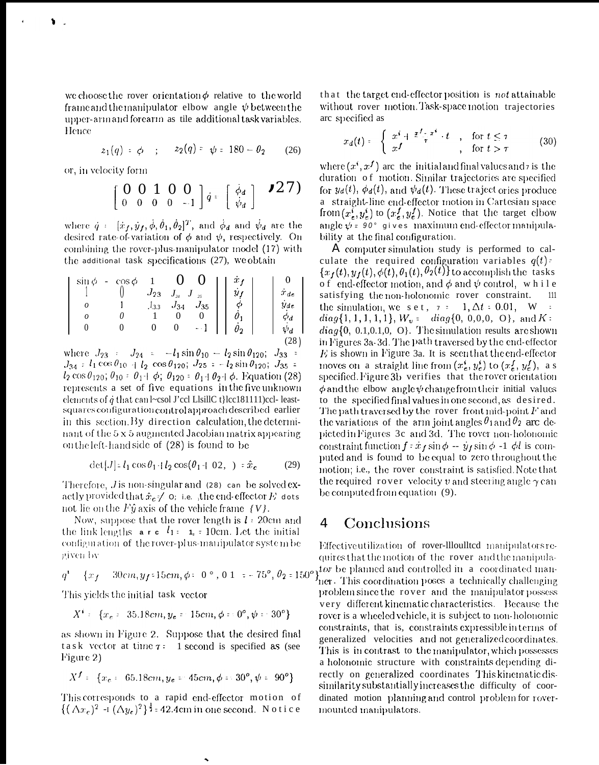we choose the rover orientation  $\phi$  relative to the world frame and the manipulator elbow angle  $\psi$  between the upper-arm and forearm as tile additional task variables. Hence

$$
z_1(q) = \phi \quad ; \quad z_2(q) = \psi = 180 - \theta_2 \tag{26}
$$

or, in velocity form

$$
\left[\begin{array}{ccc} \mathbf{0} & \mathbf{0} & \mathbf{1} & \mathbf{0} & \mathbf{0} \\ \mathbf{0} & \mathbf{0} & \mathbf{0} & \mathbf{0} & -\mathbf{1} \end{array}\right]\dot{q} = \left[\begin{array}{c} \dot{\phi}_d \\ \dot{\psi}_d \end{array}\right] \quad \mathbf{2.7}
$$

where  $\dot{q} = [\dot{x}_f, \dot{y}_f, \dot{\phi}, \dot{\theta}_1, \dot{\theta}_2]^T$ , and  $\dot{\phi}_d$  and  $\dot{\psi}_d$  are the desired rate-of-variation of  $\phi$  and  $\psi$ , respectively. On combining the rover-plus-manipulator model (17) with the additional task specifications (27), we obtain

$$
\begin{vmatrix}\n\sin \phi & -\cos \phi & 1 & \mathbf{0} & \mathbf{0} \\
1 & 0 & J_{23} & J_{24} & J_{-25} \\
0 & 1 & J_{33} & J_{34} & J_{35} \\
0 & 0 & 1 & 0 & 0 \\
0 & 0 & 0 & 0 & -1\n\end{vmatrix}\n\begin{vmatrix}\n\dot{x}_f \\
\dot{y}_f \\
\dot{\phi} \\
\dot{\theta}_1 \\
\dot{\theta}_2\n\end{vmatrix} = \begin{vmatrix}\n0 \\
\dot{x}_{de} \\
\dot{y}_{de} \\
\dot{\phi}_{de} \\
\dot{\phi}_{de} \\
\dot{\phi}_{de} \\
\dot{\phi}_{d} \\
\dot{\phi}_{d}\n\end{vmatrix}
$$

where  $J_{23}$  =  $J_{24}$  =  $-I_1 \sin \theta_{10} - I_2 \sin \theta_{120}$ ;  $J_{33}$  =  $J_{34}$  =  $I_1 \cos \theta_{10} + I_2 \cos \theta_{120}$ ;  $J_{25}$  =  $-I_2 \sin \theta_{120}$ ;  $J_{35}$  =  $l_2 \cos \theta_{120}$ ;  $\theta_{10} = \theta_1 + \phi$ ;  $\theta_{120} = \theta_1 + \theta_2 + \phi$ . Equation (28) represents a set of five equations in the five unknown elements of  $\dot{q}$  that can l~csol J'ccl LlsillC t}lcc181111)ccl- leastsquares configuration control approach described earlier in this section. By direction calculation, the determinant of the 5 x 5 augmented Jacobian matrix appearing on the left-hand side of (28) is found to be

$$
\det[J] : l_1 \cos \theta_1 + l_2 \cos(\theta_1 + 02, ) = \hat{x}_c \tag{29}
$$

Therefore, J is non-singular and (28) can be solved exactly provided that  $\hat{x}_c \neq 0$ ; i.e., the end-effector E dots not lie on the F $\hat{y}$  axis of the vehicle frame  $\{V\}$ .

Now, suppose that the rover length is  $l = 20$ cm and the link lengths  $\mathbf{a} \cdot \mathbf{c}$   $l_1$ :  $l_2$ : 10cm. Let the initial configuration of the rover-plus-manipulator system be given by

$$
q^* = \{x_f = 30cm, y_f: 15cm, \phi = 0\degree, 0.1 = -75\degree, \theta_2 = 150\degree
$$

This yields the initial task vector

$$
X^i = \{x_e = 35.18cm, y_e = 15cm, \phi = 0^\circ, \psi = 30^\circ\}
$$

as shown in Figure 2. Suppose that the desired final task vector at time  $\tau = 1$  second is specified as (see Figure 2)

$$
X^f = \{x_e = 65.18cm, y_e = 45cm, \phi = 30^o, \psi = 90^o\}
$$

This corresponds to a rapid end-effector motion of  $\{(\Delta x_e)^2 - \frac{1}{2} (\Delta y_e)^2\}^{\frac{1}{2}}$  = 42.4cm in one second. Notice

that the target end-effector position is not attainable without rover motion. Task-space motion trajectories arc specified as

$$
x_d(t) = \begin{cases} x^i + \frac{x^f + x^i}{\tau} \cdot t, & \text{for } t \le \tau \\ x^f, & \text{for } t > \tau \end{cases}
$$
 (30)

where  $(x^{i}, x^{f})$  are the initial and final values and *i* is the duration of motion. Similar trajectories are specified for  $y_d(t)$ ,  $\phi_d(t)$ , and  $\psi_d(t)$ . These traject ories produce a straight-line end-effector motion in Cartesian space from  $(x_e^i, y_e^i)$  to  $(x_e^f, y_e^f)$ . Notice that the target elbow angle  $\psi$  = 90° gives maximum end-effector manipulability at the final configuration.

A computer simulation study is performed to calculate the required configuration variables  $q(t)$ .  ${x<sub>f</sub>(t), y<sub>f</sub>(t), \phi(t), \theta_1(t), \theta_2(t)}$  to accomplish the tasks of end-effector motion, and  $\phi$  and  $\psi$  control, while satisfying the non-holonomic rover constraint. 111 the simulation, we set,  $7 = 1, \Delta t = 0.01, \quad W =$  $diag\{1, 1, 1, 1, 1\}, W_v = diag\{0, 0, 0, 0, 0\}, \text{ and } K =$  $diag\{0, 0.1, 0.1, 0, 0\}$ . The simulation results are shown in Figures 3a-3d. The path traversed by the end-effector  $E$  is shown in Figure 3a. It is seen that the end-effector moves on a straight line from  $(x_e^i, y_e^i)$  to  $(x_e^f, y_e^f)$ , as specified. Figure 3b verifies that the rover orientation  $\phi$  and the elbow angle  $\psi$  change from their initial values to the specified final values in one second, as desired. The path traversed by the rover front  $m$ id-point  $F$  and the variations of the arm joint angles  $\theta_1$  and  $\theta_2$  are depicted in Figures 3c and 3d. The rover non-holonomic constraint function  $f : x_f \sin \phi - y_f \sin \phi - 1$   $\phi l$  is computed and is found to be equal to zero throughout the motion; i.e., the rover constraint is satisfied. Note that the required rover velocity v and steering angle  $\gamma$  can be computed from equation (9).

#### 4 Conclusions

Effective utilization of rover-llloullted manipulators requires that the motion of the rover and the manipula- $\epsilon$  be planned and controlled in a coordinated man-<br>ner. This coordination poses a technically challenging problem since the rover and the manipulator possess very different kinematic characteristics. Because the rover is a wheeled vehicle, it is subject to non-holonomic constraints, that is, constraints expressible in terms of generalized velocities and not generalized coordinates. This is in contrast to the manipulator, which possesses a holonomic structure with constraints depending directly on generalized coordinates This kinematic dissimilarity substantially increases the difficulty of coordinated motion planning and control problem for rovermounted manipulators.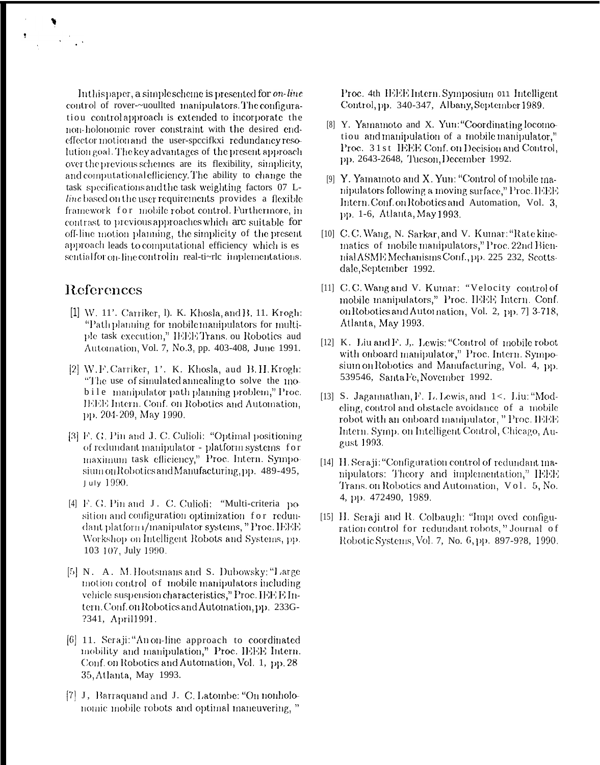In this paper, a simple scheme is presented for *on-line* control of rover-~uoullted manipulators. The configuratiou control approach is extended to incorporate the non-holonomic rover constraint with the desired endeffector motion and the user-specifical redundancy resolution goal. The key advantages of the present approach over the previous schemes are its flexibility, simplicity, and computational efficiency. The ability to change the task specifications and the task weighting factors 07 Lline based on the user requirements provides a flexible framework for mobile robot control. Furthermore, in contrast to previous approaches which are suitable for off-line motion planning, the simplicity of the present approach leads to computational efficiency which is es sential for on-line control in real-ti~rle implementations.

## References

- [1] W. 11'. Carriker, 1). K. Khosla, and B. 11. Krogh: "Path planning for mobile manipulators for multiple task execution," IEEE Trans. ou Robotics aud Automation, Vol. 7, No.3, pp. 403-408, June 1991.
- [2] W.F. Carriker, 1'. K. Khosla, aud B.H. Krogh: "The use of simulated annealing to solve the mobile manipulator path planning problem," Proc. IEEE Intern. Conf. on Robotics and Automation, pp. 204-209, May 1990.
- [3] F. G. Pin and J. C. Culioli: "Optimal positioning of redundant manipulator - platform systems for maximum task efficiency," Proc. Intern. Symposium on Robotics and Manufacturing, pp. 489-495, July 1990.
- [4] F. G. Pin and J. C. Culioli: "Multi-criteria position and configuration optimization for redundant platform/manipulator systems," Proc. IEEE Workshop on Intelligent Robots and Systems, pp. 103 107, July 1990.
- [5] N. A. M. Hootsmans and S. Dubowsky: "Large motion control of mobile manipulators including vehicle suspension characteristics," Proc. IEE E Intern. Conf. on Robotics and Automation, pp. 233G-?341, April1991.
- [6] 11. Seraji: "An on-line approach to coordinated mobility and manipulation," Proc. IEEE Intern. Conf. on Robotics and Automation, Vol. 1, pp. 28 35, Atlanta, May 1993.
- [7] J. Barraquand and J. C. Latombe: "On nonholonomic mobile robots and optimal maneuvering,"

Proc. 4th IEEE Intern. Symposium 011 Intelligent Control, pp. 340-347, Albany, September 1989.

- [8] Y. Yamamoto and X. Yun: "Coordinating locomotiou and manipulation of a mobile manipulator," Proc. 31st IEEE Conf. on Decision and Control, pp. 2643-2648, Tucson, December 1992.
- [9] Y. Yamamoto and X. Yun: "Control of mobile manipulators following a moving surface," Proc. IEEE Intern. Conf. on Robotics and Automation, Vol. 3, pp. 1-6, Atlanta, May 1993.
- [10] C.C. Wang, N. Sarkar, and V. Kumar: "Rate kinematics of mobile manipulators," Proc. 22nd Biennial ASME Mechanisms Conf., pp. 225 232, Scottsdale September 1992.
- [11] C.C. Wang and V. Kumar: "Velocity control of mobile manipulators," Proc. IEEE Intern. Conf. on Robotics and Automation, Vol. 2, pp. 7] 3-718, Atlanta, May 1993.
- [12] K. Liu and F. J., Lewis: "Control of mobile robot with onboard manipulator," Proc. Intern. Symposium on Robotics and Manufacturing, Vol. 4, pp. 539546, Santa Fe, November 1992.
- [13] S. Jagannathan, F. L. Lewis, and 1<. Liu: "Modeling, control and obstacle avoidance of a mobile robot with an onboard manipulator, " Proc. IEEE Intern. Symp. on Intelligent Control, Chicago, August 1993.
- [14] H. Scraji: "Configuration control of redundant manipulators: Theory and implementation," IEEE Trans. on Robotics and Automation, Vol. 5, No. 4, pp. 472490, 1989.
- [15] H. Seraji and R. Colbaugh: "Impi oved configuration control for redundant robots," Journal of Robotic Systems, Vol. 7, No. 6, pp. 897-9?8, 1990.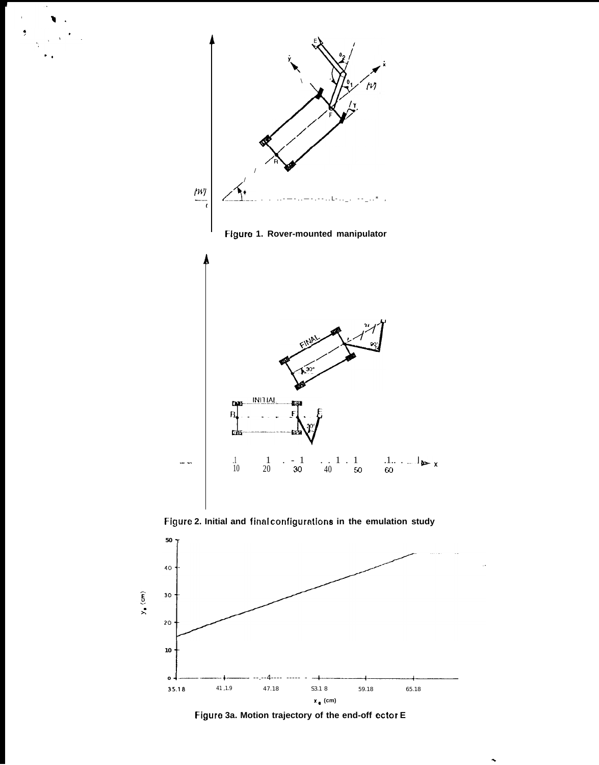

Figure 2. Initial and final configurations in the emulation study



Figure 3a. Motion trajectory of the end-off ector E

 $\ddot{\phantom{1}}$